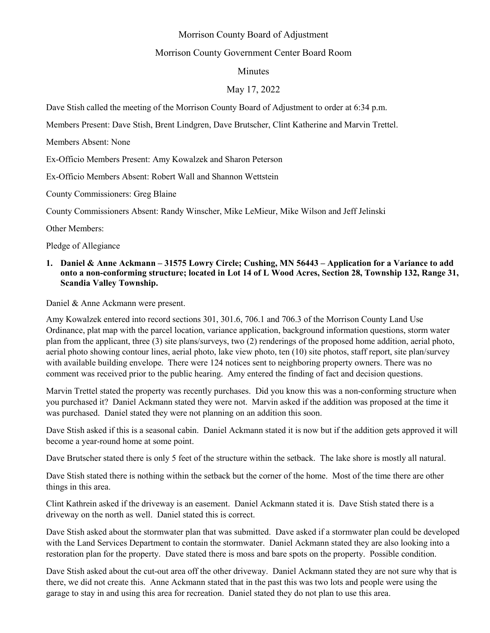# Morrison County Board of Adjustment

# Morrison County Government Center Board Room

# Minutes

## May 17, 2022

Dave Stish called the meeting of the Morrison County Board of Adjustment to order at 6:34 p.m.

Members Present: Dave Stish, Brent Lindgren, Dave Brutscher, Clint Katherine and Marvin Trettel.

Members Absent: None

Ex-Officio Members Present: Amy Kowalzek and Sharon Peterson

Ex-Officio Members Absent: Robert Wall and Shannon Wettstein

County Commissioners: Greg Blaine

County Commissioners Absent: Randy Winscher, Mike LeMieur, Mike Wilson and Jeff Jelinski

Other Members:

Pledge of Allegiance

#### **1. Daniel & Anne Ackmann – 31575 Lowry Circle; Cushing, MN 56443 – Application for a Variance to add onto a non-conforming structure; located in Lot 14 of L Wood Acres, Section 28, Township 132, Range 31, Scandia Valley Township.**

Daniel & Anne Ackmann were present.

Amy Kowalzek entered into record sections 301, 301.6, 706.1 and 706.3 of the Morrison County Land Use Ordinance, plat map with the parcel location, variance application, background information questions, storm water plan from the applicant, three (3) site plans/surveys, two (2) renderings of the proposed home addition, aerial photo, aerial photo showing contour lines, aerial photo, lake view photo, ten (10) site photos, staff report, site plan/survey with available building envelope. There were 124 notices sent to neighboring property owners. There was no comment was received prior to the public hearing. Amy entered the finding of fact and decision questions.

Marvin Trettel stated the property was recently purchases. Did you know this was a non-conforming structure when you purchased it? Daniel Ackmann stated they were not. Marvin asked if the addition was proposed at the time it was purchased. Daniel stated they were not planning on an addition this soon.

Dave Stish asked if this is a seasonal cabin. Daniel Ackmann stated it is now but if the addition gets approved it will become a year-round home at some point.

Dave Brutscher stated there is only 5 feet of the structure within the setback. The lake shore is mostly all natural.

Dave Stish stated there is nothing within the setback but the corner of the home. Most of the time there are other things in this area.

Clint Kathrein asked if the driveway is an easement. Daniel Ackmann stated it is. Dave Stish stated there is a driveway on the north as well. Daniel stated this is correct.

Dave Stish asked about the stormwater plan that was submitted. Dave asked if a stormwater plan could be developed with the Land Services Department to contain the stormwater. Daniel Ackmann stated they are also looking into a restoration plan for the property. Dave stated there is moss and bare spots on the property. Possible condition.

Dave Stish asked about the cut-out area off the other driveway. Daniel Ackmann stated they are not sure why that is there, we did not create this. Anne Ackmann stated that in the past this was two lots and people were using the garage to stay in and using this area for recreation. Daniel stated they do not plan to use this area.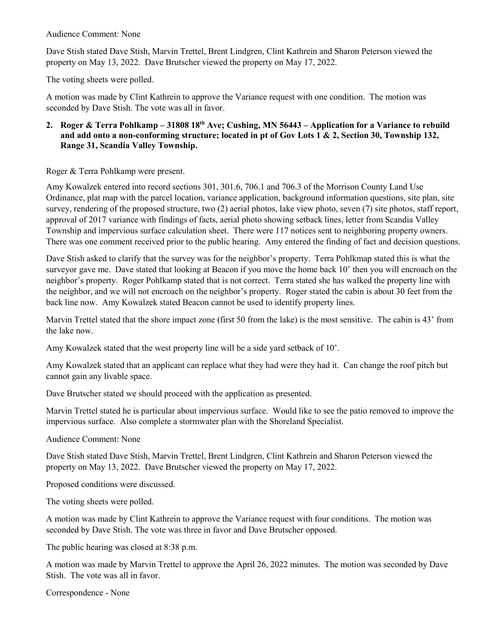Audience Comment: None

Dave Stish stated Dave Stish, Marvin Trettel, Brent Lindgren, Clint Kathrein and Sharon Peterson viewed the property on May 13, 2022. Dave Brutscher viewed the property on May 17, 2022.

The voting sheets were polled.

A motion was made by Clint Kathrein to approve the Variance request with one condition. The motion was seconded by Dave Stish. The vote was all in favor.

# **2. Roger & Terra Pohlkamp – 31808 18th Ave; Cushing, MN 56443 – Application for a Variance to rebuild and add onto a non-conforming structure; located in pt of Gov Lots 1 & 2, Section 30, Township 132, Range 31, Scandia Valley Township.**

Roger & Terra Pohlkamp were present.

Amy Kowalzek entered into record sections 301, 301.6, 706.1 and 706.3 of the Morrison County Land Use Ordinance, plat map with the parcel location, variance application, background information questions, site plan, site survey, rendering of the proposed structure, two (2) aerial photos, lake view photo, seven (7) site photos, staff report, approval of 2017 variance with findings of facts, aerial photo showing setback lines, letter from Scandia Valley Township and impervious surface calculation sheet. There were 117 notices sent to neighboring property owners. There was one comment received prior to the public hearing. Amy entered the finding of fact and decision questions.

Dave Stish asked to clarify that the survey was for the neighbor's property. Terra Pohlkmap stated this is what the surveyor gave me. Dave stated that looking at Beacon if you move the home back 10' then you will encroach on the neighbor's property. Roger Pohlkamp stated that is not correct. Terra stated she has walked the property line with the neighbor, and we will not encroach on the neighbor's property. Roger stated the cabin is about 30 feet from the back line now. Amy Kowalzek stated Beacon cannot be used to identify property lines.

Marvin Trettel stated that the shore impact zone (first 50 from the lake) is the most sensitive. The cabin is 43' from the lake now.

Amy Kowalzek stated that the west property line will be a side yard setback of 10'.

Amy Kowalzek stated that an applicant can replace what they had were they had it. Can change the roof pitch but cannot gain any livable space.

Dave Brutscher stated we should proceed with the application as presented.

Marvin Trettel stated he is particular about impervious surface. Would like to see the patio removed to improve the impervious surface. Also complete a stormwater plan with the Shoreland Specialist.

Audience Comment: None

Dave Stish stated Dave Stish, Marvin Trettel, Brent Lindgren, Clint Kathrein and Sharon Peterson viewed the property on May 13, 2022. Dave Brutscher viewed the property on May 17, 2022.

Proposed conditions were discussed.

The voting sheets were polled.

A motion was made by Clint Kathrein to approve the Variance request with four conditions. The motion was seconded by Dave Stish. The vote was three in favor and Dave Brutscher opposed.

The public hearing was closed at 8:38 p.m.

A motion was made by Marvin Trettel to approve the April 26, 2022 minutes. The motion was seconded by Dave Stish. The vote was all in favor.

Correspondence - None